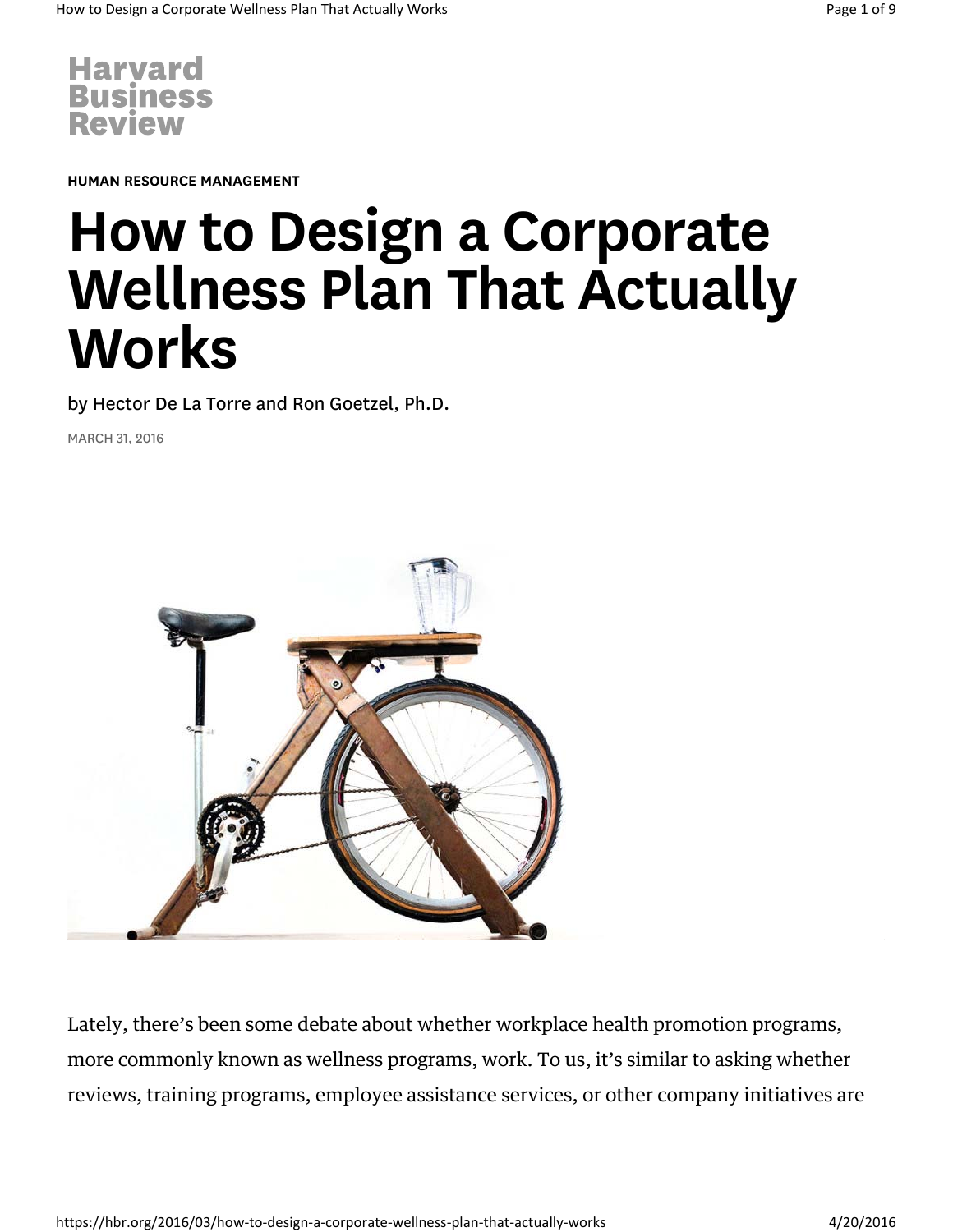

HUMAN RESOURCE MANAGEMENT

# How to Design a Corporate Wellness Plan That Actually Works

by Hector De La Torre and Ron Goetzel, Ph.D.

MARCH 31, 2016



Lately, there's been some debate about whether workplace health promotion programs, more commonly known as wellness programs, work. To us, it's similar to asking whether reviews, training programs, employee assistance services, or other company initiatives are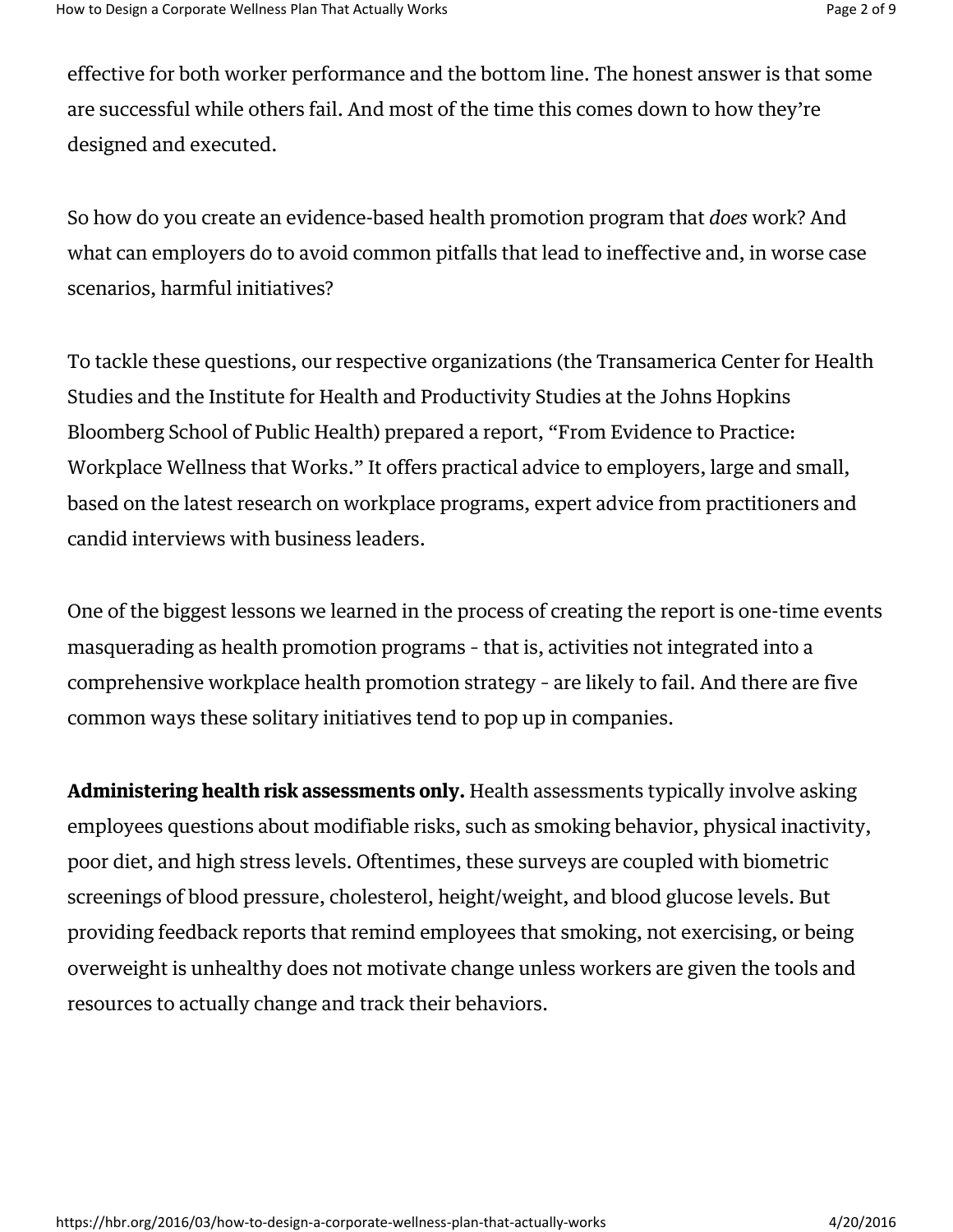effective for both worker performance and the bottom line. The honest answer is that some are successful while others fail. And most of the time this comes down to how they're designed and executed.

So how do you create an evidence-based health promotion program that *does* work? And what can employers do to avoid common pitfalls that lead to ineffective and, in worse case scenarios, harmful initiatives?

To tackle these questions, our respective organizations (the Transamerica Center for Health Studies and the Institute for Health and Productivity Studies at the Johns Hopkins Bloomberg School of Public Health) prepared a report, "From Evidence to Practice: Workplace Wellness that Works." It offers practical advice to employers, large and small, based on the latest research on workplace programs, expert advice from practitioners and candid interviews with business leaders.

One of the biggest lessons we learned in the process of creating the report is one-time events masquerading as health promotion programs – that is, activities not integrated into a comprehensive workplace health promotion strategy – are likely to fail. And there are five common ways these solitary initiatives tend to pop up in companies.

Administering health risk assessments only. Health assessments typically involve asking employees questions about modifiable risks, such as smoking behavior, physical inactivity, poor diet, and high stress levels. Oftentimes, these surveys are coupled with biometric screenings of blood pressure, cholesterol, height/weight, and blood glucose levels. But providing feedback reports that remind employees that smoking, not exercising, or being overweight is unhealthy does not motivate change unless workers are given the tools and resources to actually change and track their behaviors.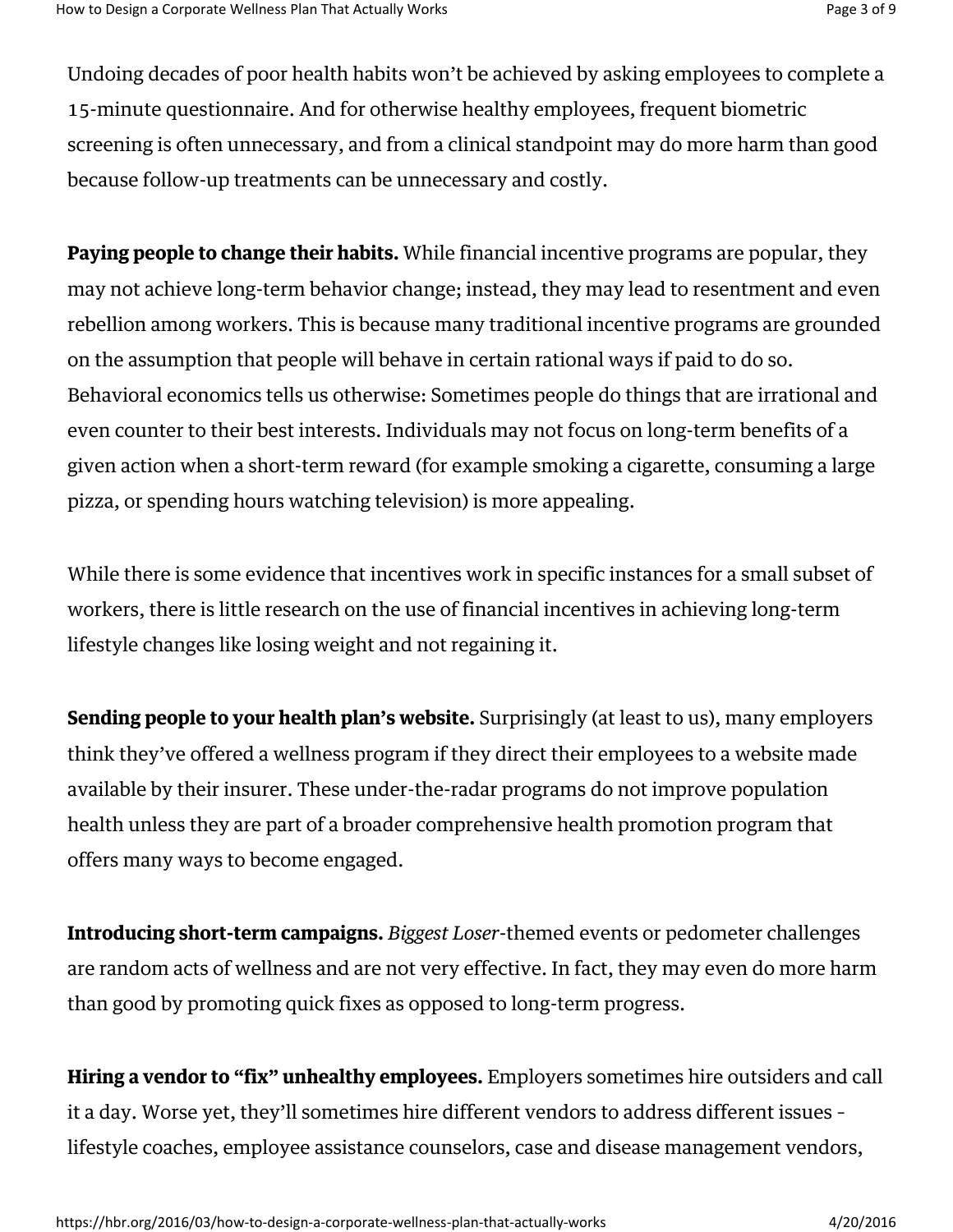Undoing decades of poor health habits won't be achieved by asking employees to complete a 15-minute questionnaire. And for otherwise healthy employees, frequent biometric screening is often unnecessary, and from a clinical standpoint may do more harm than good because follow-up treatments can be unnecessary and costly.

**Paying people to change their habits.** While financial incentive programs are popular, they may not achieve long-term behavior change; instead, they may lead to resentment and even rebellion among workers. This is because many traditional incentive programs are grounded on the assumption that people will behave in certain rational ways if paid to do so. Behavioral economics tells us otherwise: Sometimes people do things that are irrational and even counter to their best interests. Individuals may not focus on long-term benefits of a given action when a short-term reward (for example smoking a cigarette, consuming a large pizza, or spending hours watching television) is more appealing.

While there is some evidence that incentives work in specific instances for a small subset of workers, there is little research on the use of financial incentives in achieving long-term lifestyle changes like losing weight and not regaining it.

Sending people to your health plan's website. Surprisingly (at least to us), many employers think they've offered a wellness program if they direct their employees to a website made available by their insurer. These under-the-radar programs do not improve population health unless they are part of a broader comprehensive health promotion program that offers many ways to become engaged.

Introducing short-term campaigns. *Biggest Loser*-themed events or pedometer challenges are random acts of wellness and are not very effective. In fact, they may even do more harm than good by promoting quick fixes as opposed to long-term progress.

Hiring a vendor to "fix" unhealthy employees. Employers sometimes hire outsiders and call it a day. Worse yet, they'll sometimes hire different vendors to address different issues – lifestyle coaches, employee assistance counselors, case and disease management vendors,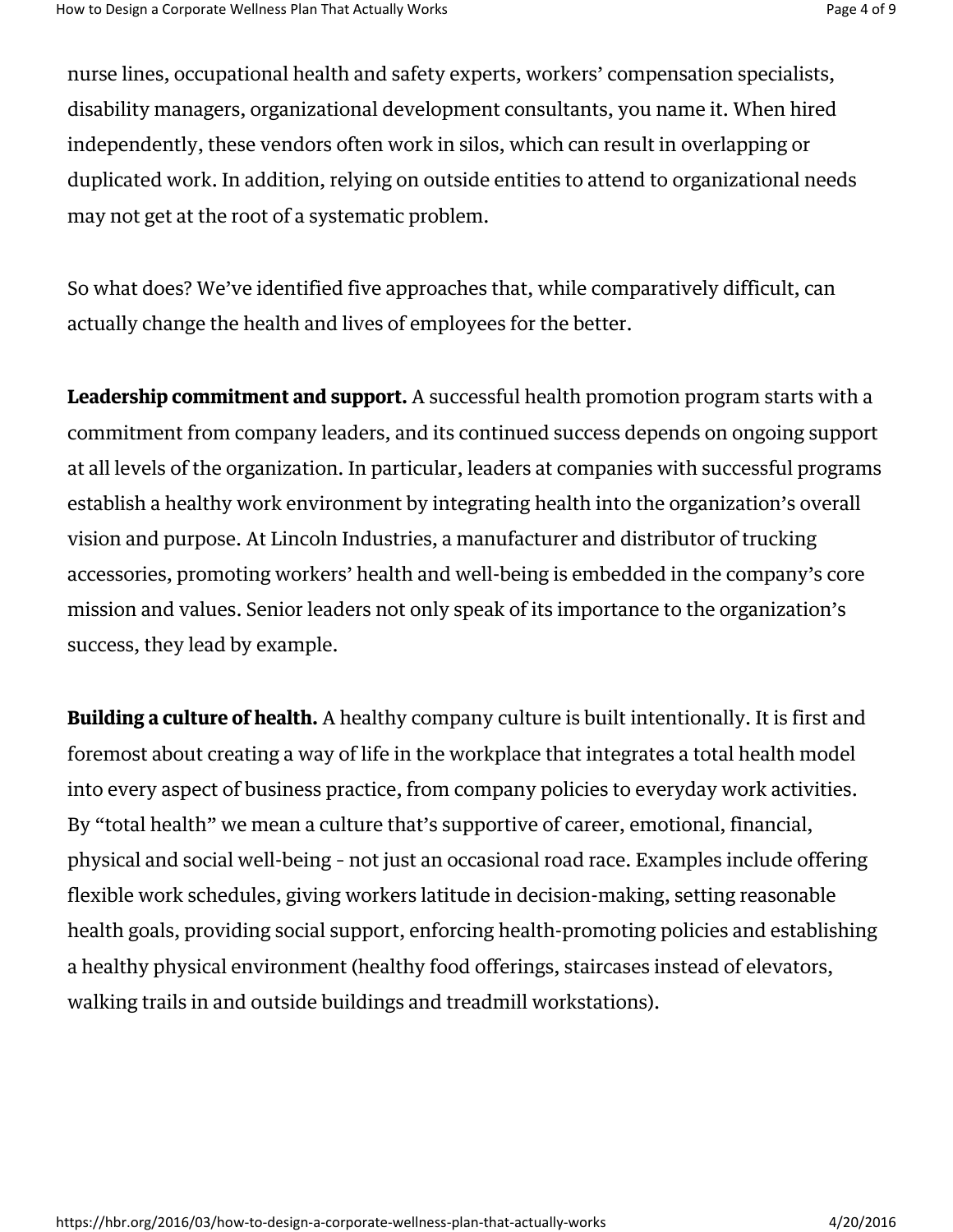nurse lines, occupational health and safety experts, workers' compensation specialists, disability managers, organizational development consultants, you name it. When hired independently, these vendors often work in silos, which can result in overlapping or duplicated work. In addition, relying on outside entities to attend to organizational needs may not get at the root of a systematic problem.

So what does? We've identified five approaches that, while comparatively difficult, can actually change the health and lives of employees for the better.

Leadership commitment and support. A successful health promotion program starts with a commitment from company leaders, and its continued success depends on ongoing support at all levels of the organization. In particular, leaders at companies with successful programs establish a healthy work environment by integrating health into the organization's overall vision and purpose. At Lincoln Industries, a manufacturer and distributor of trucking accessories, promoting workers' health and well-being is embedded in the company's core mission and values. Senior leaders not only speak of its importance to the organization's success, they lead by example.

**Building a culture of health.** A healthy company culture is built intentionally. It is first and foremost about creating a way of life in the workplace that integrates a total health model into every aspect of business practice, from company policies to everyday work activities. By "total health" we mean a culture that's supportive of career, emotional, financial, physical and social well-being – not just an occasional road race. Examples include offering flexible work schedules, giving workers latitude in decision-making, setting reasonable health goals, providing social support, enforcing health-promoting policies and establishing a healthy physical environment (healthy food offerings, staircases instead of elevators, walking trails in and outside buildings and treadmill workstations).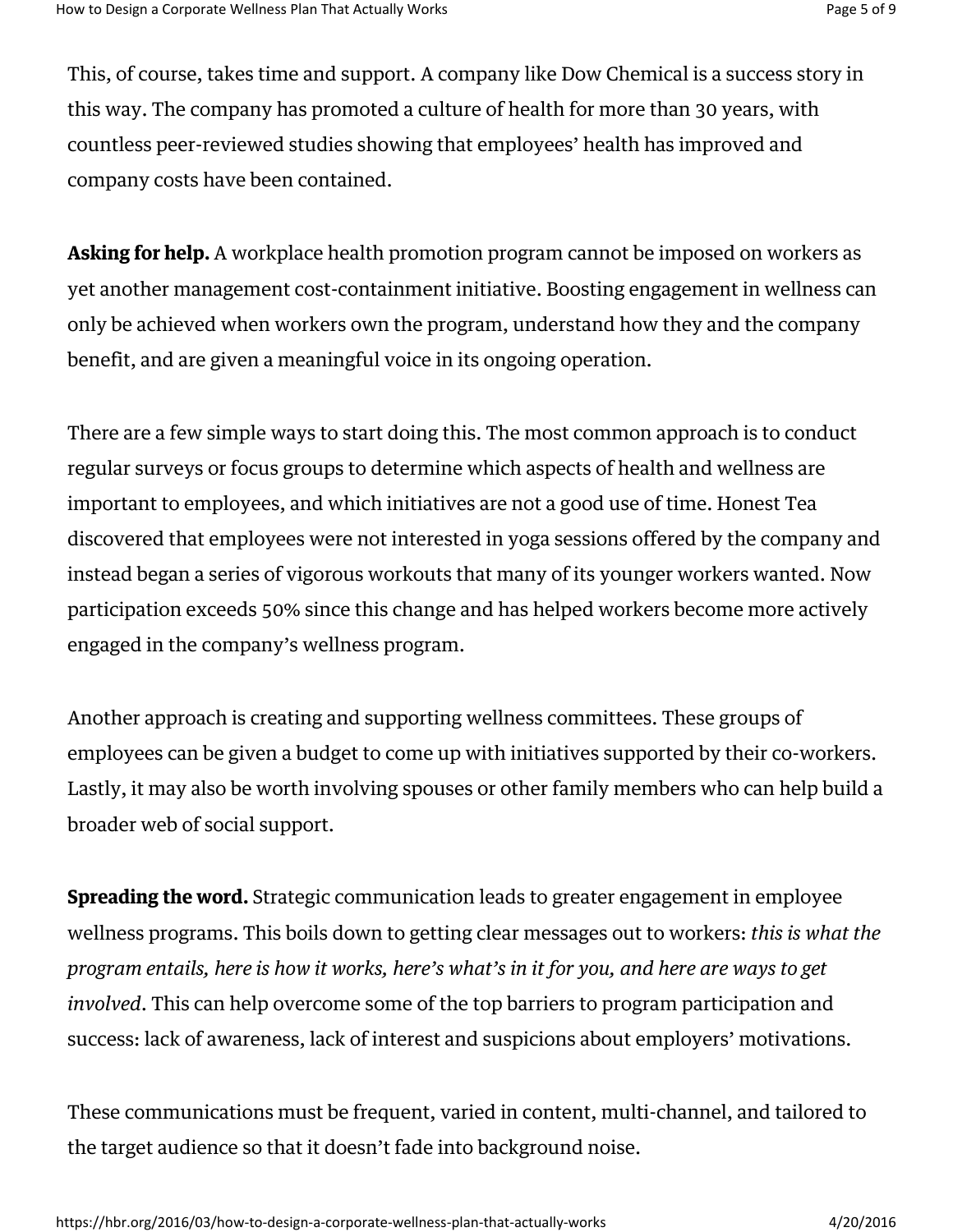This, of course, takes time and support. A company like Dow Chemical is a success story in this way. The company has promoted a culture of health for more than 30 years, with countless peer-reviewed studies showing that employees' health has improved and company costs have been contained.

Asking for help. A workplace health promotion program cannot be imposed on workers as yet another management cost-containment initiative. Boosting engagement in wellness can only be achieved when workers own the program, understand how they and the company benefit, and are given a meaningful voice in its ongoing operation.

There are a few simple ways to start doing this. The most common approach is to conduct regular surveys or focus groups to determine which aspects of health and wellness are important to employees, and which initiatives are not a good use of time. Honest Tea discovered that employees were not interested in yoga sessions offered by the company and instead began a series of vigorous workouts that many of its younger workers wanted. Now participation exceeds 50% since this change and has helped workers become more actively engaged in the company's wellness program.

Another approach is creating and supporting wellness committees. These groups of employees can be given a budget to come up with initiatives supported by their co-workers. Lastly, it may also be worth involving spouses or other family members who can help build a broader web of social support.

**Spreading the word.** Strategic communication leads to greater engagement in employee wellness programs. This boils down to getting clear messages out to workers: *this is what the program entails, here is how it works, here's what's in it for you, and here are ways to get involved*. This can help overcome some of the top barriers to program participation and success: lack of awareness, lack of interest and suspicions about employers' motivations.

These communications must be frequent, varied in content, multi-channel, and tailored to the target audience so that it doesn't fade into background noise.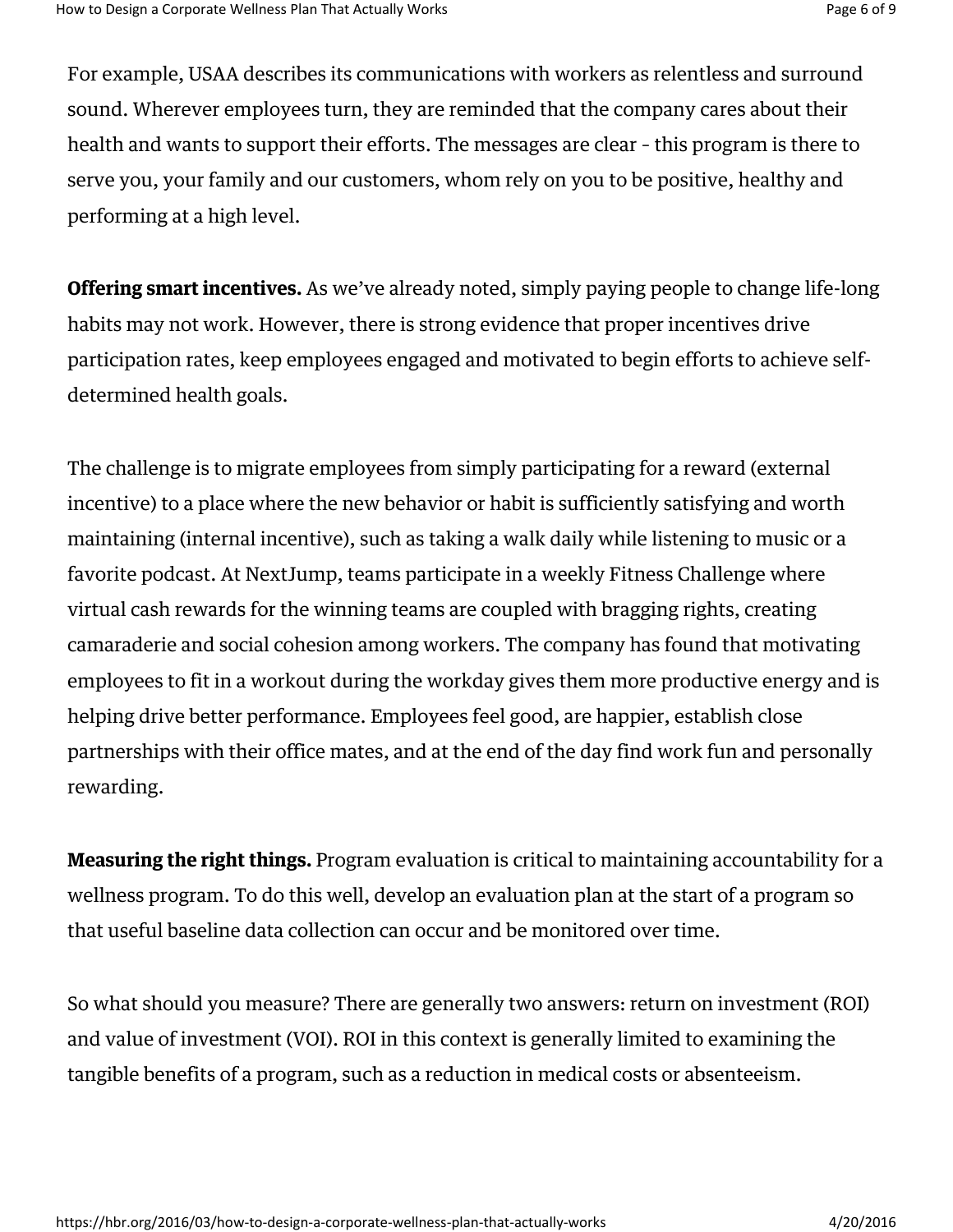For example, USAA describes its communications with workers as relentless and surround sound. Wherever employees turn, they are reminded that the company cares about their health and wants to support their efforts. The messages are clear – this program is there to serve you, your family and our customers, whom rely on you to be positive, healthy and performing at a high level.

**Offering smart incentives.** As we've already noted, simply paying people to change life-long habits may not work. However, there is strong evidence that proper incentives drive participation rates, keep employees engaged and motivated to begin efforts to achieve selfdetermined health goals.

The challenge is to migrate employees from simply participating for a reward (external incentive) to a place where the new behavior or habit is sufficiently satisfying and worth maintaining (internal incentive), such as taking a walk daily while listening to music or a favorite podcast. At NextJump, teams participate in a weekly Fitness Challenge where virtual cash rewards for the winning teams are coupled with bragging rights, creating camaraderie and social cohesion among workers. The company has found that motivating employees to fit in a workout during the workday gives them more productive energy and is helping drive better performance. Employees feel good, are happier, establish close partnerships with their office mates, and at the end of the day find work fun and personally rewarding.

**Measuring the right things.** Program evaluation is critical to maintaining accountability for a wellness program. To do this well, develop an evaluation plan at the start of a program so that useful baseline data collection can occur and be monitored over time.

So what should you measure? There are generally two answers: return on investment (ROI) and value of investment (VOI). ROI in this context is generally limited to examining the tangible benefits of a program, such as a reduction in medical costs or absenteeism.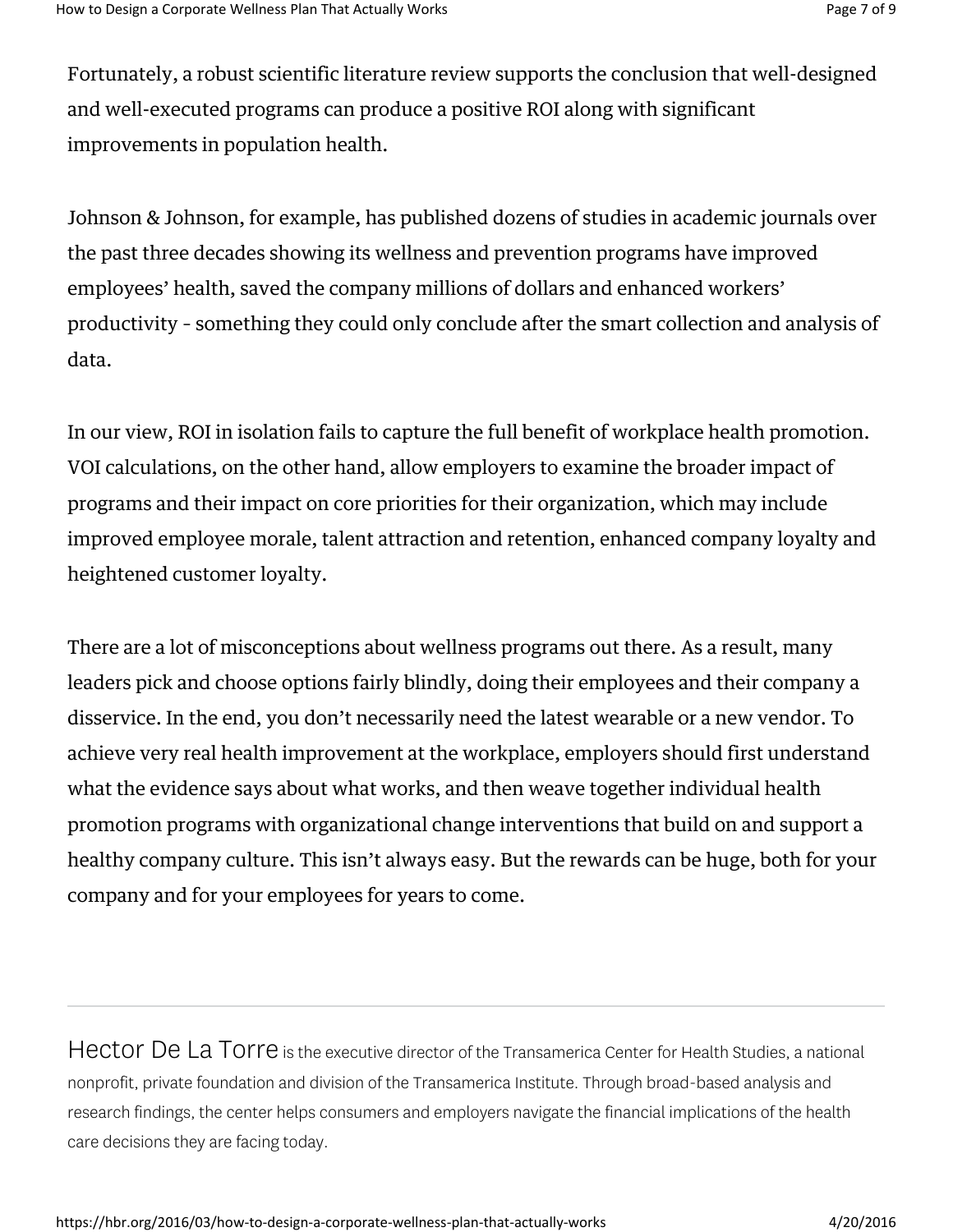Fortunately, a robust scientific literature review supports the conclusion that well-designed and well-executed programs can produce a positive ROI along with significant improvements in population health.

Johnson & Johnson, for example, has published dozens of studies in academic journals over the past three decades showing its wellness and prevention programs have improved employees' health, saved the company millions of dollars and enhanced workers' productivity – something they could only conclude after the smart collection and analysis of data.

In our view, ROI in isolation fails to capture the full benefit of workplace health promotion. VOI calculations, on the other hand, allow employers to examine the broader impact of programs and their impact on core priorities for their organization, which may include improved employee morale, talent attraction and retention, enhanced company loyalty and heightened customer loyalty.

There are a lot of misconceptions about wellness programs out there. As a result, many leaders pick and choose options fairly blindly, doing their employees and their company a disservice. In the end, you don't necessarily need the latest wearable or a new vendor. To achieve very real health improvement at the workplace, employers should first understand what the evidence says about what works, and then weave together individual health promotion programs with organizational change interventions that build on and support a healthy company culture. This isn't always easy. But the rewards can be huge, both for your company and for your employees for years to come.

Hector De La Torre is the executive director of the Transamerica Center for Health Studies, a national nonprofit, private foundation and division of the Transamerica Institute. Through broad-based analysis and research findings, the center helps consumers and employers navigate the financial implications of the health care decisions they are facing today.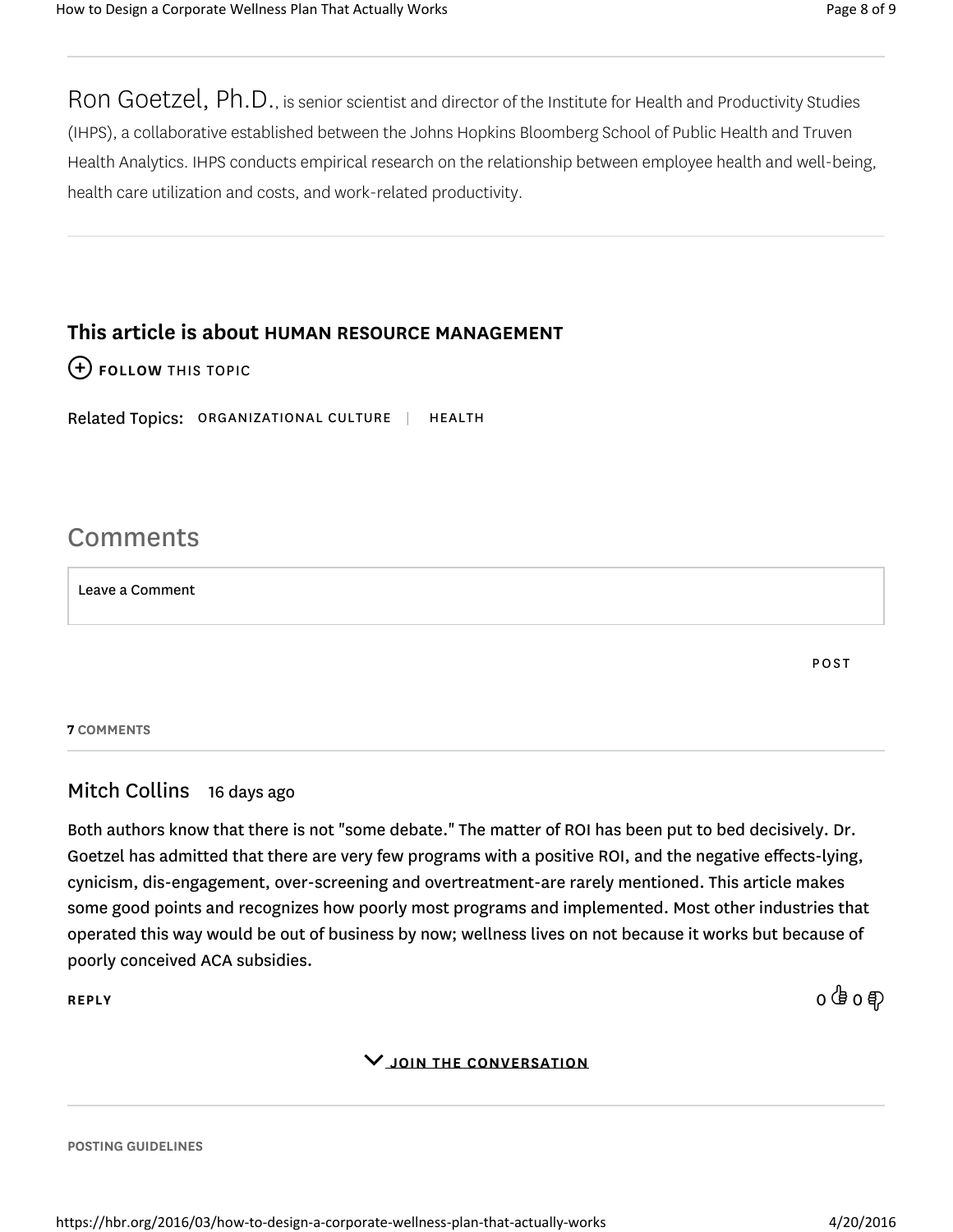Ron Goetzel, Ph.D., is senior scientist and director of the Institute for Health and Productivity Studies (IHPS), a collaborative established between the Johns Hopkins Bloomberg School of Public Health and Truven Health Analytics. IHPS conducts empirical research on the relationship between employee health and well-being, health care utilization and costs, and work-related productivity.

## This article is about HUMAN RESOURCE MANAGEMENT

## (+) FOLLOW THIS TOPIC

Related Topics: ORGANIZATIONAL CULTURE | HEALTH

# Comments

Leave a Comment

POST

#### 7 COMMENTS

## Mitch Collins 16 days ago

Both authors know that there is not "some debate." The matter of ROI has been put to bed decisively. Dr. Goetzel has admitted that there are very few programs with a positive ROI, and the negative effects-lying, cynicism, dis-engagement, over-screening and overtreatment-are rarely mentioned. This article makes some good points and recognizes how poorly most programs and implemented. Most other industries that operated this way would be out of business by now; wellness lives on not because it works but because of poorly conceived ACA subsidies.

REPLY  $0\stackrel{\text{(} \text{B}\text{ }}{0} \stackrel{\text{(} \text{B}\text{ }}{0} \stackrel{\text{(} \text{B}\text{ }}{0} \stackrel{\text{(} \text{B}\text{ }}{0} \stackrel{\text{(} \text{B}\text{ }}{0} \stackrel{\text{(} \text{B}\text{ }}{0} \stackrel{\text{(} \text{B}\text{ }}{0} \stackrel{\text{(} \text{B}\text{ }}{0} \stackrel{\text{(} \text{B}\text{ }}{0} \stackrel{\text{(} \text{B}\text{ }}{0} \stackrel{\text{(} \text{B}\text{ }}{0} \stackrel{\text{(} \text{B}\text{$ 

### JOIN THE CONVERSATION

POSTING GUIDELINES

https://hbr.org/2016/03/how-to-design-a-corporate-wellness-plan-that-actually-works 4/20/2016